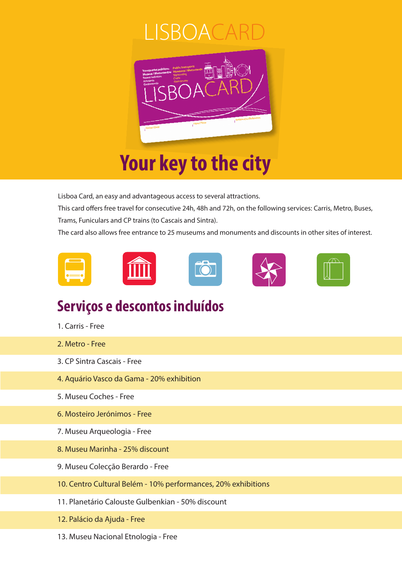#### 30 IA



Lisboa Card, an easy and advantageous access to several attractions.

This card offers free travel for consecutive 24h, 48h and 72h, on the following services: Carris, Metro, Buses, Trams, Funiculars and CP trains (to Cascais and Sintra).

The card also allows free entrance to 25 museums and monuments and discounts in other sites of interest.











#### **Serviços e descontos incluídos**

- 1. Carris Free
- 2. Metro Free
- 3. CP Sintra Cascais Free
- 4. Aquário Vasco da Gama 20% exhibition
- 5. Museu Coches Free
- 6. Mosteiro Jerónimos Free
- 7. Museu Arqueologia Free
- 8. Museu Marinha 25% discount
- 9. Museu Colecção Berardo Free
- 10. Centro Cultural Belém 10% performances, 20% exhibitions
- 11. Planetário Calouste Gulbenkian 50% discount
- 12. Palácio da Ajuda Free
- 13. Museu Nacional Etnologia Free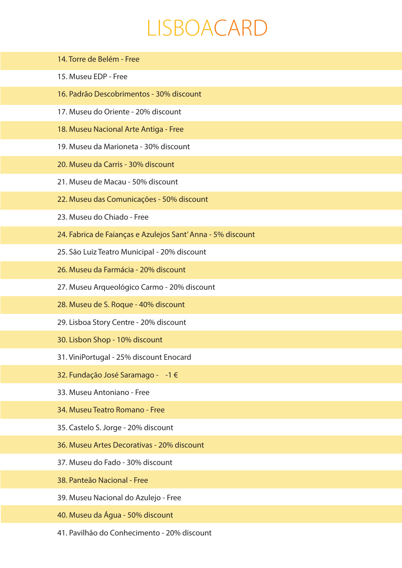### LISBOACARD

| 14. Torre de Belém - Free                                   |
|-------------------------------------------------------------|
| 15. Museu EDP - Free                                        |
| 16. Padrão Descobrimentos - 30% discount                    |
| 17. Museu do Oriente - 20% discount                         |
| 18. Museu Nacional Arte Antiga - Free                       |
| 19. Museu da Marioneta - 30% discount                       |
| 20. Museu da Carris - 30% discount                          |
| 21. Museu de Macau - 50% discount                           |
| 22. Museu das Comunicações - 50% discount                   |
| 23. Museu do Chiado - Free                                  |
| 24. Fabrica de Faianças e Azulejos Sant' Anna - 5% discount |
| 25. São Luiz Teatro Municipal - 20% discount                |
| 26. Museu da Farmácia - 20% discount                        |
| 27. Museu Arqueológico Carmo - 20% discount                 |
| 28. Museu de S. Roque - 40% discount                        |
| 29. Lisboa Story Centre - 20% discount                      |
| 30. Lisbon Shop - 10% discount                              |
| 31. ViniPortugal - 25% discount Enocard                     |
| 32. Fundação José Saramago - -1 €                           |
| 33. Museu Antoniano - Free                                  |
| 34. Museu Teatro Romano - Free                              |
| 35. Castelo S. Jorge - 20% discount                         |
| 36. Museu Artes Decorativas - 20% discount                  |
| 37. Museu do Fado - 30% discount                            |
| 38. Panteão Nacional - Free                                 |
| 39. Museu Nacional do Azulejo - Free                        |
| 40. Museu da Água - 50% discount                            |

41. Pavilhão do Conhecimento - 20% discount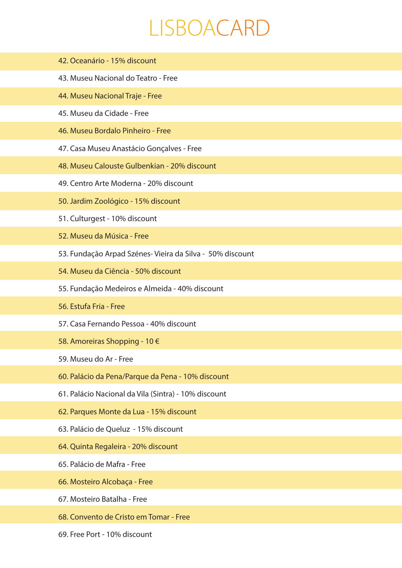## LISBOACARD

- 42. Oceanário 15% discount
- 43. Museu Nacional do Teatro Free
- 44. Museu Nacional Traje Free
- 45. Museu da Cidade Free
- 46. Museu Bordalo Pinheiro Free
- 47. Casa Museu Anastácio Gonçalves Free
- 48. Museu Calouste Gulbenkian 20% discount
- 49. Centro Arte Moderna 20% discount
- 50. Jardim Zoológico 15% discount
- 51. Culturgest 10% discount
- 52. Museu da Música Free
- 53. Fundação Arpad Szénes- Vieira da Silva 50% discount
- 54. Museu da Ciência 50% discount
- 55. Fundação Medeiros e Almeida 40% discount
- 56. Estufa Fria Free
- 57. Casa Fernando Pessoa 40% discount
- 58. Amoreiras Shopping 10 €
- 59. Museu do Ar Free
- 60. Palácio da Pena/Parque da Pena 10% discount
- 61. Palácio Nacional da Vila (Sintra) 10% discount
- 62. Parques Monte da Lua 15% discount
- 63. Palácio de Queluz 15% discount
- 64. Quinta Regaleira 20% discount
- 65. Palácio de Mafra Free
- 66. Mosteiro Alcobaça Free
- 67. Mosteiro Batalha Free
- 68. Convento de Cristo em Tomar Free
- 69. Free Port 10% discount